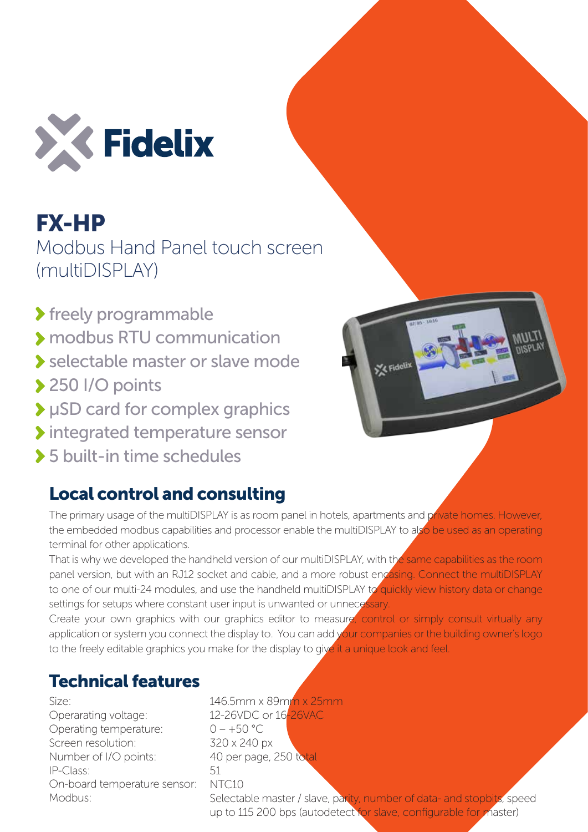

FX-HP Modbus Hand Panel touch screen (multiDISPLAY)

- **>** freely programmable
- modbus RTU communication
- selectable master or slave mode
- ▶ 250 I/O points
- μSD card for complex graphics
- Integrated temperature sensor
- 5 built-in time schedules

## Local control and consulting



The primary usage of the multiDISPLAY is as room panel in hotels, apartments and private homes. However, the embedded modbus capabilities and processor enable the multiDISPLAY to also be used as an operating terminal for other applications.

That is why we developed the handheld version of our multiDISPLAY, with the same capabilities as the room panel version, but with an RJ12 socket and cable, and a more robust encasing. Connect the multiDISPLAY to one of our multi-24 modules, and use the handheld multiDISPLAY to quickly view history data or change settings for setups where constant user input is unwanted or unnecessary.

Create your own graphics with our graphics editor to measure, control or simply consult virtually any application or system you connect the display to. You can add your companies or the building owner's logo to the freely editable graphics you make for the display to give it a unique look and feel.

## Technical features

Size:

Operarating voltage: Operating temperature: Screen resolution: Number of I/O points: IP-Class: On-board temperature sensor: Modbus:

## 146.5mm x 89mm x 25mm 12-26VDC or 16-26VAC  $0 - +50$  °C 320 x 240 px 40 per page, 250 total 51 NTC10

Selectable master / slave, parity, number of data- and stopbits, speed up to 115 200 bps (autodetect for slave, configurable for master)